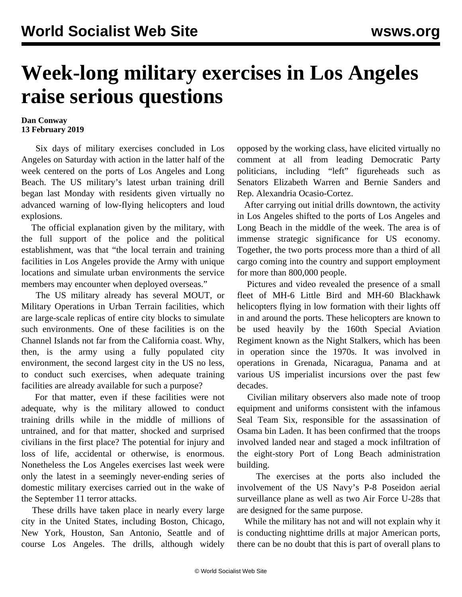## **Week-long military exercises in Los Angeles raise serious questions**

## **Dan Conway 13 February 2019**

 Six days of military exercises concluded in Los Angeles on Saturday with action in the latter half of the week centered on the ports of Los Angeles and Long Beach. The US military's latest urban training drill began last Monday with residents given virtually no advanced warning of low-flying helicopters and loud explosions.

 The official explanation given by the military, with the full support of the police and the political establishment, was that "the local terrain and training facilities in Los Angeles provide the Army with unique locations and simulate urban environments the service members may encounter when deployed overseas."

 The US military already has several MOUT, or Military Operations in Urban Terrain facilities, which are large-scale replicas of entire city blocks to simulate such environments. One of these facilities is on the Channel Islands not far from the California coast. Why, then, is the army using a fully populated city environment, the second largest city in the US no less, to conduct such exercises, when adequate training facilities are already available for such a purpose?

 For that matter, even if these facilities were not adequate, why is the military allowed to conduct training drills while in the middle of millions of untrained, and for that matter, shocked and surprised civilians in the first place? The potential for injury and loss of life, accidental or otherwise, is enormous. Nonetheless the Los Angeles exercises last week were only the latest in a seemingly never-ending series of domestic military exercises carried out in the wake of the September 11 terror attacks.

 These drills have taken place in nearly every large city in the United States, including Boston, Chicago, New York, Houston, San Antonio, Seattle and of course Los Angeles. The drills, although widely opposed by the working class, have elicited virtually no comment at all from leading Democratic Party politicians, including "left" figureheads such as Senators Elizabeth Warren and Bernie Sanders and Rep. Alexandria Ocasio-Cortez.

 After carrying out initial drills downtown, the activity in Los Angeles shifted to the ports of Los Angeles and Long Beach in the middle of the week. The area is of immense strategic significance for US economy. Together, the two ports process more than a third of all cargo coming into the country and support employment for more than 800,000 people.

 Pictures and video revealed the presence of a small fleet of MH-6 Little Bird and MH-60 Blackhawk helicopters flying in low formation with their lights off in and around the ports. These helicopters are known to be used heavily by the 160th Special Aviation Regiment known as the Night Stalkers, which has been in operation since the 1970s. It was involved in operations in Grenada, Nicaragua, Panama and at various US imperialist incursions over the past few decades.

 Civilian military observers also made note of troop equipment and uniforms consistent with the infamous Seal Team Six, responsible for the assassination of Osama bin Laden. It has been confirmed that the troops involved landed near and staged a mock infiltration of the eight-story Port of Long Beach administration building.

 The exercises at the ports also included the involvement of the US Navy's P-8 Poseidon aerial surveillance plane as well as two Air Force U-28s that are designed for the same purpose.

 While the military has not and will not explain why it is conducting nighttime drills at major American ports, there can be no doubt that this is part of overall plans to